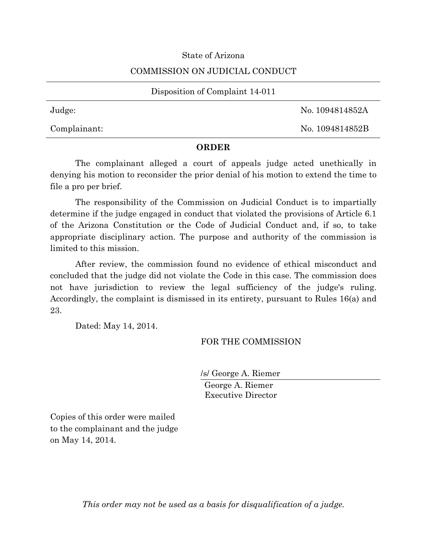## State of Arizona

## COMMISSION ON JUDICIAL CONDUCT

#### Disposition of Complaint 14-011

Judge: No. 1094814852A

Complainant: No. 1094814852B

## **ORDER**

The complainant alleged a court of appeals judge acted unethically in denying his motion to reconsider the prior denial of his motion to extend the time to file a pro per brief.

The responsibility of the Commission on Judicial Conduct is to impartially determine if the judge engaged in conduct that violated the provisions of Article 6.1 of the Arizona Constitution or the Code of Judicial Conduct and, if so, to take appropriate disciplinary action. The purpose and authority of the commission is limited to this mission.

After review, the commission found no evidence of ethical misconduct and concluded that the judge did not violate the Code in this case. The commission does not have jurisdiction to review the legal sufficiency of the judge's ruling. Accordingly, the complaint is dismissed in its entirety, pursuant to Rules 16(a) and 23.

Dated: May 14, 2014.

# FOR THE COMMISSION

/s/ George A. Riemer

George A. Riemer Executive Director

Copies of this order were mailed to the complainant and the judge on May 14, 2014.

*This order may not be used as a basis for disqualification of a judge.*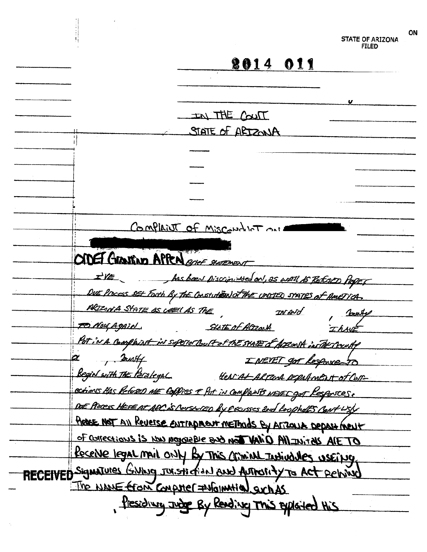|                                             |                                                                           | ON<br>STATE OF ARIZONA<br>FILED |
|---------------------------------------------|---------------------------------------------------------------------------|---------------------------------|
|                                             | <b>2014 011</b>                                                           |                                 |
|                                             |                                                                           |                                 |
|                                             |                                                                           |                                 |
|                                             | IN THE COUT                                                               |                                 |
|                                             | STATE OF ARIZONA                                                          |                                 |
|                                             |                                                                           |                                 |
|                                             |                                                                           |                                 |
|                                             |                                                                           |                                 |
|                                             |                                                                           |                                 |
|                                             |                                                                           |                                 |
|                                             |                                                                           |                                 |
|                                             | Complaint of Misconduct our                                               |                                 |
| ODET GRASTING APPEN and SHOPMENT            |                                                                           |                                 |
|                                             | I'VE has been piscriminated on, as well to REFORD Paper                   |                                 |
|                                             | DUE Process set Forth By The Constution of the cristed states of America. |                                 |
| PRIZONA STATE AS COELLAS THE                | $\mathcal{D}$                                                             | Jointe                          |
| <u>FO Nou Again</u>                         | Statt of Altzark                                                          | I KAVE                          |
|                                             | Pet in A complaint in superior court of the state of Account instherment  |                                 |
| Surtf                                       | I NEVET got lespouse TO                                                   |                                 |
| <u> Begin with the Perzlegal</u>            | HEACAL ARTEGA populment of Con-                                           |                                 |
|                                             | ections this Reform ME Coffices & fut in complants were c got Responses.  |                                 |
|                                             | DUE Process HEREAT APC is ConstrutED by EECUSSES 2nd LoopholES Cant USY   |                                 |
|                                             | Actre NOT All Reverse entrapment methods By Arizonsk Depastment           |                                 |
|                                             | of Corrections is now payment for by a slaspy us is evoitosing to         |                                 |
|                                             |                                                                           |                                 |
|                                             | Receive legal mail only by This comind Individues useing.                 |                                 |
|                                             | RECEIVED Signatures GNING JOISTICTION AND AUTOSITY TO ACT PEINING         |                                 |
| The NAME EFOIN COMPUTER = MOINMHION SUCH AS |                                                                           |                                 |
|                                             | Presiding Judge By Reading This exploited this                            |                                 |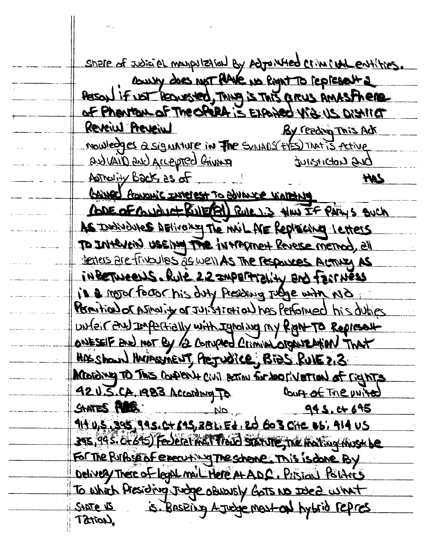Share of Joint A may putton by Adjunted Criminal entities. COUNTY does NOT PANE NO RIGHT TO FEDERALLY Person if not feavested, Thing is This are annual finere Reveiul Preveiul By reading This Ack Noulledges a signature in The SYNADS EYES That is Active and vail D and Accepted Criving **DUB LIOBITION** Asthelity Back, 25 of **HAS** <u>AANED france Interest To BULLER VIATELAND</u> RODE OF CONDUCT RULERAL RULLIS HOW IF PARYS SUCH As Individures DELivemy The Mil ME Replacing Letters TO INterent useing The intromet Revere memod, all testers are frikalles as well As The responses Actives As informeens. Rule 22 IMPERTIONIN AND FOUNDES is a motor factor his duty Presiding Judge with NO Permition or Asimulity or JULISTICHION has Performed his duties unfeir and Impartially with Ignoring my Right To Represent ONESEIF AND NOT BY 12 Company Circulators Detection That HAS Shown Harrasment, Pregudice, Bies Rule 2,3 According TO This confishing living action of CIT parisonal 92 U.S.CA. 1983 According To Court of The United SHATES POSSES 945.0+695 914 4,5,395,995. C+695,381. Ed. 20 603 Cite 05, 414 US 395, 945. C+245) Federation Thand STATUTE, The mating must be FOR The Purpose of executing The scheme. This is done By To which Presiding Judge obviously Gots No Idea what SHOTE 15. BASEING A JUDGEMENt ON hybrid repres Tation,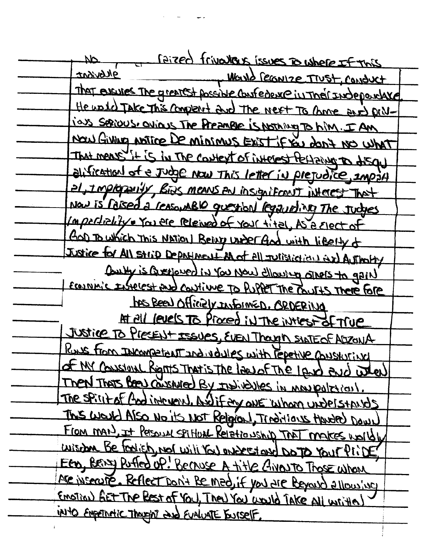| Circa frivatas issues cushere If this<br>ИP                          |
|----------------------------------------------------------------------|
| ghbvisat<br>Warld FEGNIZE TIUSt, CONDUCT                             |
| That eventes The greatest possible confederate in Their Independance |
| He unid Take This complete dud The next To come and priv-            |
| ias serious, ovious The PreamBle is Nothing To him. I AM             |
| Now Giving notice De minimus Exist IF YOU don't No What              |
| That mens it is in The context of interest fectaing to disgul        |
| alification of e Judge Now This letter in prejudice, import          |
| al, Improperly, Bids means an insignificant interest That            |
| NOW is reised a reasonable guestion required the tudges              |
| Importiality o You are releved of your tital, As a great of          |
| GOD To which This National Benry under God with libelty of           |
| Justice for All strip Department A of all Julistication ax Authority |
| Contry is carefored in You Now ellowing stress to gain!              |
| ECONNING Instellest and continue To Pupper The Courts There Fore     |
| has Been Officialy InformED. ORDERING                                |
| At all levels To Proced in The intest of True                        |
| JUSTICE TO PIECENT ISSUES, EVEN Though SINTEOF ADZONA                |
| Rus from INCOMPETENT and volvies with reportive CONSKUTING           |
| of MY Constant Rights That is the law of The Lend end when           |
| Then That's Been consented By the individues in man paletical.       |
| The spirit of And intervent. And if any one whom understands         |
| This would Also No its Not Religion, Traditions Handed Down          |
| From man), It Personal spitter Relationship That makes upsibly       |
| wishing Be Foolish not will You ontrest and DOTO Your Plint          |
| EED, BEIND Puffed of! BECAUSE A title GIVANTO Those whom             |
| Are inservire. Reflect Don't Be med, if you are beyond allowing      |
| Emotion) first The Rest of You, They You would Take all written)     |
| in1to Empethetic Thought and Evaluate Burself.                       |
|                                                                      |